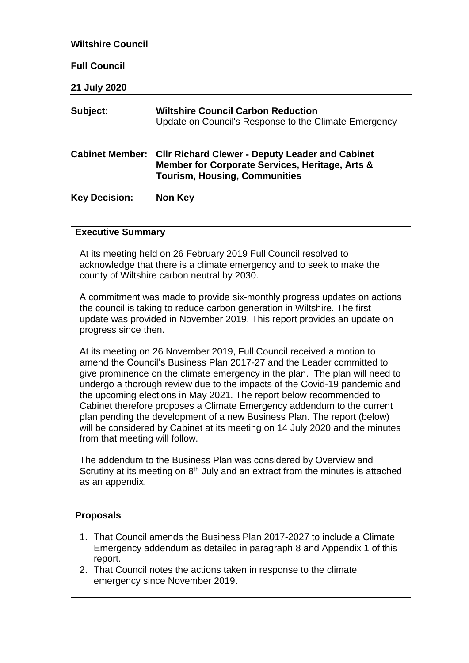| <b>Wiltshire Council</b> |                                                                                                                                                   |
|--------------------------|---------------------------------------------------------------------------------------------------------------------------------------------------|
| <b>Full Council</b>      |                                                                                                                                                   |
| 21 July 2020             |                                                                                                                                                   |
| Subject:                 | <b>Wiltshire Council Carbon Reduction</b><br>Update on Council's Response to the Climate Emergency                                                |
| <b>Cabinet Member:</b>   | <b>CIIr Richard Clewer - Deputy Leader and Cabinet</b><br>Member for Corporate Services, Heritage, Arts &<br><b>Tourism, Housing, Communities</b> |
| <b>Key Decision:</b>     | Non Key                                                                                                                                           |

#### **Executive Summary**

At its meeting held on 26 February 2019 Full Council resolved to acknowledge that there is a climate emergency and to seek to make the county of Wiltshire carbon neutral by 2030.

A commitment was made to provide six-monthly progress updates on actions the council is taking to reduce carbon generation in Wiltshire. The first update was provided in November 2019. This report provides an update on progress since then.

At its meeting on 26 November 2019, Full Council received a motion to amend the Council's Business Plan 2017-27 and the Leader committed to give prominence on the climate emergency in the plan. The plan will need to undergo a thorough review due to the impacts of the Covid-19 pandemic and the upcoming elections in May 2021. The report below recommended to Cabinet therefore proposes a Climate Emergency addendum to the current plan pending the development of a new Business Plan. The report (below) will be considered by Cabinet at its meeting on 14 July 2020 and the minutes from that meeting will follow.

The addendum to the Business Plan was considered by Overview and Scrutiny at its meeting on  $8<sup>th</sup>$  July and an extract from the minutes is attached as an appendix.

#### **Proposals**

- 1. That Council amends the Business Plan 2017-2027 to include a Climate Emergency addendum as detailed in paragraph 8 and Appendix 1 of this report.
- 2. That Council notes the actions taken in response to the climate emergency since November 2019.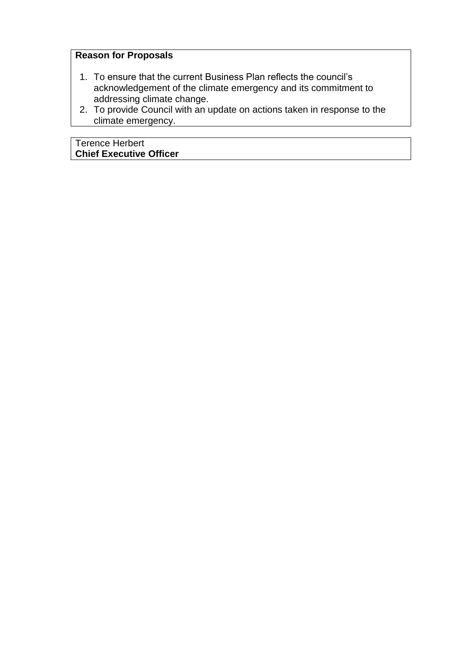## **Reason for Proposals**

- 1. To ensure that the current Business Plan reflects the council's acknowledgement of the climate emergency and its commitment to addressing climate change.
- 2. To provide Council with an update on actions taken in response to the climate emergency.

Terence Herbert **Chief Executive Officer**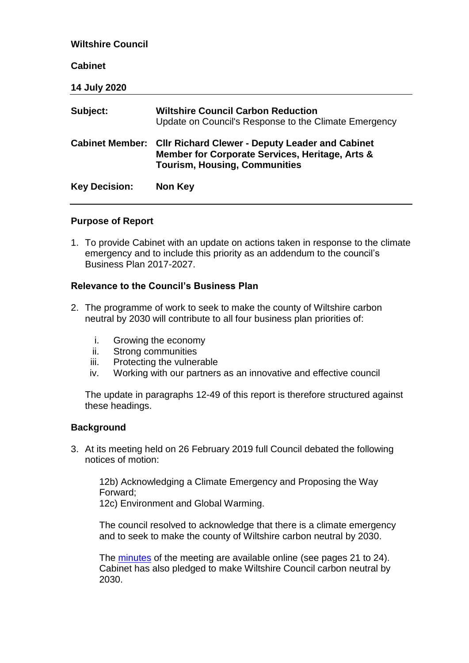| <b>Wiltshire Council</b> |                                                                                                                                                                   |
|--------------------------|-------------------------------------------------------------------------------------------------------------------------------------------------------------------|
| <b>Cabinet</b>           |                                                                                                                                                                   |
| <b>14 July 2020</b>      |                                                                                                                                                                   |
| Subject:                 | <b>Wiltshire Council Carbon Reduction</b><br>Update on Council's Response to the Climate Emergency                                                                |
|                          | <b>Cabinet Member: Cllr Richard Clewer - Deputy Leader and Cabinet</b><br>Member for Corporate Services, Heritage, Arts &<br><b>Tourism, Housing, Communities</b> |
| <b>Key Decision:</b>     | Non Key                                                                                                                                                           |

#### **Purpose of Report**

1. To provide Cabinet with an update on actions taken in response to the climate emergency and to include this priority as an addendum to the council's Business Plan 2017-2027.

#### **Relevance to the Council's Business Plan**

- 2. The programme of work to seek to make the county of Wiltshire carbon neutral by 2030 will contribute to all four business plan priorities of:
	- i. Growing the economy
	- ii. Strong communities
	- iii. Protecting the vulnerable
	- iv. Working with our partners as an innovative and effective council

The update in paragraphs 12-49 of this report is therefore structured against these headings.

#### **Background**

3. At its meeting held on 26 February 2019 full Council debated the following notices of motion:

12b) Acknowledging a Climate Emergency and Proposing the Way Forward;

12c) Environment and Global Warming.

The council resolved to acknowledge that there is a climate emergency and to seek to make the county of Wiltshire carbon neutral by 2030.

The [minutes](https://cms.wiltshire.gov.uk/documents/g11678/Public%20minutes%2026th-Feb-2019%2010.30%20Council.pdf?T=11) of the meeting are available online (see pages 21 to 24). Cabinet has also pledged to make Wiltshire Council carbon neutral by 2030.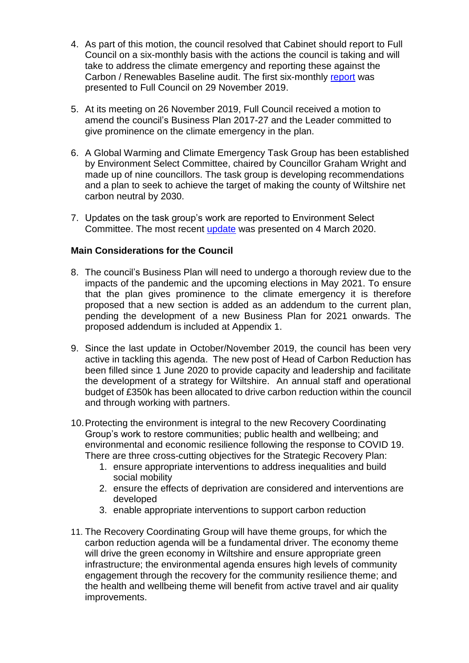- 4. As part of this motion, the council resolved that Cabinet should report to Full Council on a six-monthly basis with the actions the council is taking and will take to address the climate emergency and reporting these against the Carbon / Renewables Baseline audit. The first six-monthly [report](https://cms.wiltshire.gov.uk/documents/s171195/Update_Report.pdf) was presented to Full Council on 29 November 2019.
- 5. At its meeting on 26 November 2019, Full Council received a motion to amend the council's Business Plan 2017-27 and the Leader committed to give prominence on the climate emergency in the plan.
- 6. A Global Warming and Climate Emergency Task Group has been established by Environment Select Committee, chaired by Councillor Graham Wright and made up of nine councillors. The task group is developing recommendations and a plan to seek to achieve the target of making the county of Wiltshire net carbon neutral by 2030.
- 7. Updates on the task group's work are reported to Environment Select Committee. The most recent [update](https://cms.wiltshire.gov.uk/documents/s174908/Task_Group_Updates.pdf) was presented on 4 March 2020.

#### **Main Considerations for the Council**

- 8. The council's Business Plan will need to undergo a thorough review due to the impacts of the pandemic and the upcoming elections in May 2021. To ensure that the plan gives prominence to the climate emergency it is therefore proposed that a new section is added as an addendum to the current plan, pending the development of a new Business Plan for 2021 onwards. The proposed addendum is included at Appendix 1.
- 9. Since the last update in October/November 2019, the council has been very active in tackling this agenda. The new post of Head of Carbon Reduction has been filled since 1 June 2020 to provide capacity and leadership and facilitate the development of a strategy for Wiltshire. An annual staff and operational budget of £350k has been allocated to drive carbon reduction within the council and through working with partners.
- 10.Protecting the environment is integral to the new Recovery Coordinating Group's work to restore communities; public health and wellbeing; and environmental and economic resilience following the response to COVID 19. There are three cross-cutting objectives for the Strategic Recovery Plan:
	- 1. ensure appropriate interventions to address inequalities and build social mobility
	- 2. ensure the effects of deprivation are considered and interventions are developed
	- 3. enable appropriate interventions to support carbon reduction
- 11. The Recovery Coordinating Group will have theme groups, for which the carbon reduction agenda will be a fundamental driver. The economy theme will drive the green economy in Wiltshire and ensure appropriate green infrastructure; the environmental agenda ensures high levels of community engagement through the recovery for the community resilience theme; and the health and wellbeing theme will benefit from active travel and air quality improvements.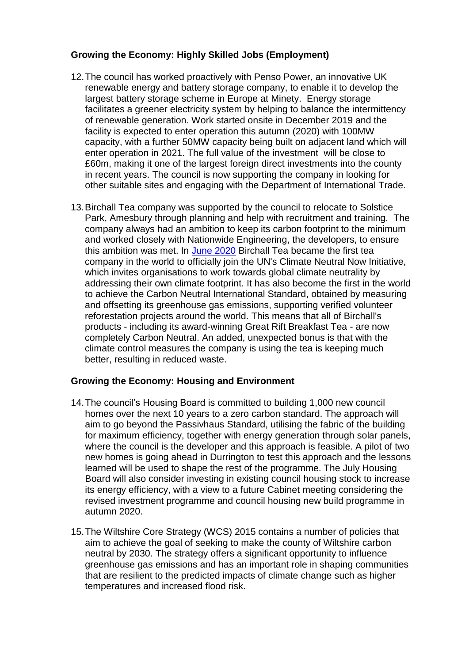## **Growing the Economy: Highly Skilled Jobs (Employment)**

- 12.The council has worked proactively with Penso Power, an innovative UK renewable energy and battery storage company, to enable it to develop the largest battery storage scheme in Europe at Minety. Energy storage facilitates a greener electricity system by helping to balance the intermittency of renewable generation. Work started onsite in December 2019 and the facility is expected to enter operation this autumn (2020) with 100MW capacity, with a further 50MW capacity being built on adjacent land which will enter operation in 2021. The full value of the investment will be close to £60m, making it one of the largest foreign direct investments into the county in recent years. The council is now supporting the company in looking for other suitable sites and engaging with the Department of International Trade.
- 13.Birchall Tea company was supported by the council to relocate to Solstice Park, Amesbury through planning and help with recruitment and training. The company always had an ambition to keep its carbon footprint to the minimum and worked closely with Nationwide Engineering, the developers, to ensure this ambition was met. In [June 2020](https://birchalltea.co.uk/birchall-tea-is-now-carbon-neutral/) Birchall Tea became the first tea company in the world to officially join the UN's Climate Neutral Now Initiative, which invites organisations to work towards global climate neutrality by addressing their own climate footprint. It has also become the first in the world to achieve the Carbon Neutral International Standard, obtained by measuring and offsetting its greenhouse gas emissions, supporting verified volunteer reforestation projects around the world. This means that all of Birchall's products - including its award-winning Great Rift Breakfast Tea - are now completely Carbon Neutral. An added, unexpected bonus is that with the climate control measures the company is using the tea is keeping much better, resulting in reduced waste.

#### **Growing the Economy: Housing and Environment**

- 14.The council's Housing Board is committed to building 1,000 new council homes over the next 10 years to a zero carbon standard. The approach will aim to go beyond the Passivhaus Standard, utilising the fabric of the building for maximum efficiency, together with energy generation through solar panels, where the council is the developer and this approach is feasible. A pilot of two new homes is going ahead in Durrington to test this approach and the lessons learned will be used to shape the rest of the programme. The July Housing Board will also consider investing in existing council housing stock to increase its energy efficiency, with a view to a future Cabinet meeting considering the revised investment programme and council housing new build programme in autumn 2020.
- 15.The Wiltshire Core Strategy (WCS) 2015 contains a number of policies that aim to achieve the goal of seeking to make the county of Wiltshire carbon neutral by 2030. The strategy offers a significant opportunity to influence greenhouse gas emissions and has an important role in shaping communities that are resilient to the predicted impacts of climate change such as higher temperatures and increased flood risk.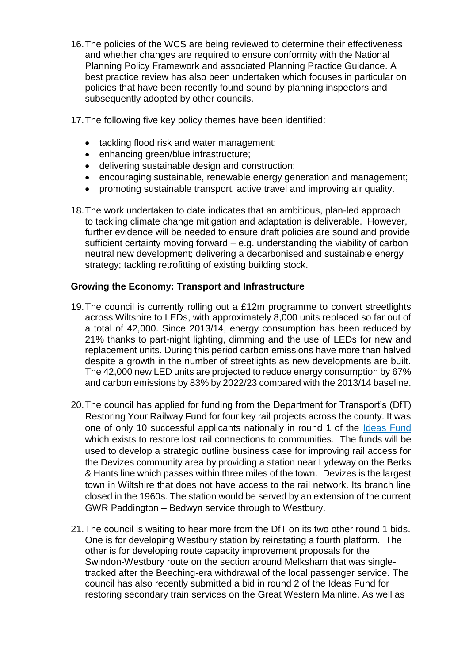- 16.The policies of the WCS are being reviewed to determine their effectiveness and whether changes are required to ensure conformity with the National Planning Policy Framework and associated Planning Practice Guidance. A best practice review has also been undertaken which focuses in particular on policies that have been recently found sound by planning inspectors and subsequently adopted by other councils.
- 17.The following five key policy themes have been identified:
	- tackling flood risk and water management;
	- enhancing green/blue infrastructure;
	- delivering sustainable design and construction;
	- encouraging sustainable, renewable energy generation and management;
	- promoting sustainable transport, active travel and improving air quality.
- 18.The work undertaken to date indicates that an ambitious, plan-led approach to tackling climate change mitigation and adaptation is deliverable. However, further evidence will be needed to ensure draft policies are sound and provide sufficient certainty moving forward – e.g. understanding the viability of carbon neutral new development; delivering a decarbonised and sustainable energy strategy; tackling retrofitting of existing building stock.

## **Growing the Economy: Transport and Infrastructure**

- 19.The council is currently rolling out a £12m programme to convert streetlights across Wiltshire to LEDs, with approximately 8,000 units replaced so far out of a total of 42,000. Since 2013/14, energy consumption has been reduced by 21% thanks to part-night lighting, dimming and the use of LEDs for new and replacement units. During this period carbon emissions have more than halved despite a growth in the number of streetlights as new developments are built. The 42,000 new LED units are projected to reduce energy consumption by 67% and carbon emissions by 83% by 2022/23 compared with the 2013/14 baseline.
- 20.The council has applied for funding from the Department for Transport's (DfT) Restoring Your Railway Fund for four key rail projects across the county. It was one of only 10 successful applicants nationally in round 1 of the [Ideas Fund](https://eur02.safelinks.protection.outlook.com/?url=https%3A%2F%2Fwww.gov.uk%2Fgovernment%2Fpublications%2Fre-opening-beeching-era-lines-and-stations%2Fre-opening-beeching-era-lines-and-stations&data=02%7C01%7Cariane.crampton%40wiltshire.gov.uk%7C96c013596f7544cfbecc08d81dd2a93a%7C5546e75e3be14813b0ff26651ea2fe19%7C0%7C0%7C637292137901244791&sdata=VL0mkr16f2FtSnk2yZbn%2BGZBod1s0qGUlbp3b9svU%2BY%3D&reserved=0) which exists to restore lost rail connections to communities. The funds will be used to develop a strategic outline business case for improving rail access for the Devizes community area by providing a station near Lydeway on the Berks & Hants line which passes within three miles of the town. Devizes is the largest town in Wiltshire that does not have access to the rail network. Its branch line closed in the 1960s. The station would be served by an extension of the current GWR Paddington – Bedwyn service through to Westbury.
- 21.The council is waiting to hear more from the DfT on its two other round 1 bids. One is for developing Westbury station by reinstating a fourth platform. The other is for developing route capacity improvement proposals for the Swindon-Westbury route on the section around Melksham that was singletracked after the Beeching-era withdrawal of the local passenger service. The council has also recently submitted a bid in round 2 of the Ideas Fund for restoring secondary train services on the Great Western Mainline. As well as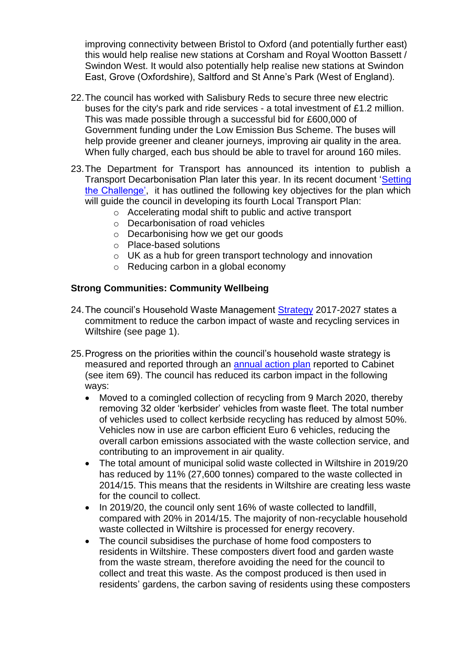improving connectivity between Bristol to Oxford (and potentially further east) this would help realise new stations at Corsham and Royal Wootton Bassett / Swindon West. It would also potentially help realise new stations at Swindon East, Grove (Oxfordshire), Saltford and St Anne's Park (West of England).

- 22.The council has worked with Salisbury Reds to secure three new electric buses for the city's park and ride services - a total investment of £1.2 million. This was made possible through a successful bid for £600,000 of Government funding under the Low Emission Bus Scheme. The buses will help provide greener and cleaner journeys, improving air quality in the area. When fully charged, each bus should be able to travel for around 160 miles.
- 23.The Department for Transport has announced its intention to publish a Transport Decarbonisation Plan later this year. In its recent document ['Setting](https://www.gov.uk/government/publications/creating-the-transport-decarbonisation-plan)  [the Challenge',](https://www.gov.uk/government/publications/creating-the-transport-decarbonisation-plan) it has outlined the following key objectives for the plan which will guide the council in developing its fourth Local Transport Plan:
	- o Accelerating modal shift to public and active transport
	- o Decarbonisation of road vehicles
	- o Decarbonising how we get our goods
	- o Place-based solutions
	- o UK as a hub for green transport technology and innovation
	- o Reducing carbon in a global economy

#### **Strong Communities: Community Wellbeing**

- 24. The council's Household Waste Management [Strategy](http://www.wiltshire.gov.uk/what-happens-to-recycling) 2017-2027 states a commitment to reduce the carbon impact of waste and recycling services in Wiltshire (see page 1).
- 25.Progress on the priorities within the council's household waste strategy is measured and reported through an [annual action plan](https://cms.wiltshire.gov.uk/ieListDocuments.aspx?CId=130&MId=12494&Ver=4) reported to Cabinet (see item 69). The council has reduced its carbon impact in the following ways:
	- Moved to a comingled collection of recycling from 9 March 2020, thereby removing 32 older 'kerbsider' vehicles from waste fleet. The total number of vehicles used to collect kerbside recycling has reduced by almost 50%. Vehicles now in use are carbon efficient Euro 6 vehicles, reducing the overall carbon emissions associated with the waste collection service, and contributing to an improvement in air quality.
	- The total amount of municipal solid waste collected in Wiltshire in 2019/20 has reduced by 11% (27,600 tonnes) compared to the waste collected in 2014/15. This means that the residents in Wiltshire are creating less waste for the council to collect.
	- In 2019/20, the council only sent 16% of waste collected to landfill. compared with 20% in 2014/15. The majority of non-recyclable household waste collected in Wiltshire is processed for energy recovery.
	- The council subsidises the purchase of home food composters to residents in Wiltshire. These composters divert food and garden waste from the waste stream, therefore avoiding the need for the council to collect and treat this waste. As the compost produced is then used in residents' gardens, the carbon saving of residents using these composters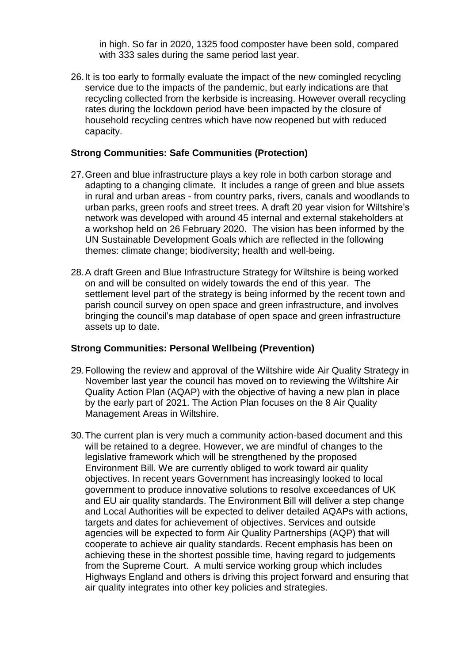in high. So far in 2020, 1325 food composter have been sold, compared with 333 sales during the same period last year.

26.It is too early to formally evaluate the impact of the new comingled recycling service due to the impacts of the pandemic, but early indications are that recycling collected from the kerbside is increasing. However overall recycling rates during the lockdown period have been impacted by the closure of household recycling centres which have now reopened but with reduced capacity.

#### **Strong Communities: Safe Communities (Protection)**

- 27.Green and blue infrastructure plays a key role in both carbon storage and adapting to a changing climate. It includes a range of green and blue assets in rural and urban areas - from country parks, rivers, canals and woodlands to urban parks, green roofs and street trees. A draft 20 year vision for Wiltshire's network was developed with around 45 internal and external stakeholders at a workshop held on 26 February 2020. The vision has been informed by the UN Sustainable Development Goals which are reflected in the following themes: climate change; biodiversity; health and well-being.
- 28.A draft Green and Blue Infrastructure Strategy for Wiltshire is being worked on and will be consulted on widely towards the end of this year. The settlement level part of the strategy is being informed by the recent town and parish council survey on open space and green infrastructure, and involves bringing the council's map database of open space and green infrastructure assets up to date.

#### **Strong Communities: Personal Wellbeing (Prevention)**

- 29.Following the review and approval of the Wiltshire wide Air Quality Strategy in November last year the council has moved on to reviewing the Wiltshire Air Quality Action Plan (AQAP) with the objective of having a new plan in place by the early part of 2021. The Action Plan focuses on the 8 Air Quality Management Areas in Wiltshire.
- 30.The current plan is very much a community action-based document and this will be retained to a degree. However, we are mindful of changes to the legislative framework which will be strengthened by the proposed Environment Bill. We are currently obliged to work toward air quality objectives. In recent years Government has increasingly looked to local government to produce innovative solutions to resolve exceedances of UK and EU air quality standards. The Environment Bill will deliver a step change and Local Authorities will be expected to deliver detailed AQAPs with actions, targets and dates for achievement of objectives. Services and outside agencies will be expected to form Air Quality Partnerships (AQP) that will cooperate to achieve air quality standards. Recent emphasis has been on achieving these in the shortest possible time, having regard to judgements from the Supreme Court. A multi service working group which includes Highways England and others is driving this project forward and ensuring that air quality integrates into other key policies and strategies.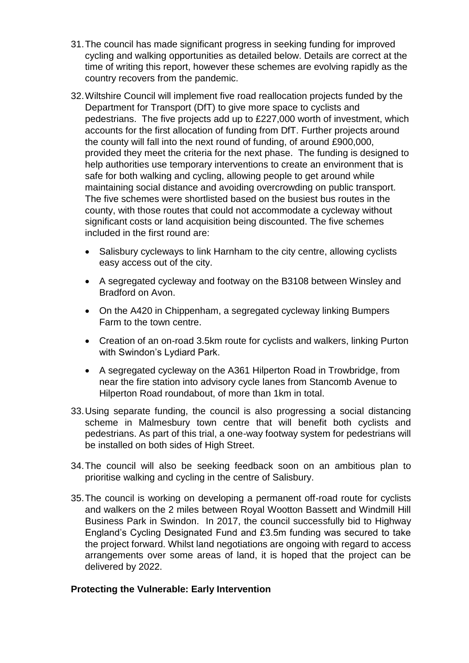- 31.The council has made significant progress in seeking funding for improved cycling and walking opportunities as detailed below. Details are correct at the time of writing this report, however these schemes are evolving rapidly as the country recovers from the pandemic.
- 32.Wiltshire Council will implement five road reallocation projects funded by the Department for Transport (DfT) to give more space to cyclists and pedestrians. The five projects add up to £227,000 worth of investment, which accounts for the first allocation of funding from DfT. Further projects around the county will fall into the next round of funding, of around £900,000, provided they meet the criteria for the next phase. The funding is designed to help authorities use temporary interventions to create an environment that is safe for both walking and cycling, allowing people to get around while maintaining social distance and avoiding overcrowding on public transport. The five schemes were shortlisted based on the busiest bus routes in the county, with those routes that could not accommodate a cycleway without significant costs or land acquisition being discounted. The five schemes included in the first round are:
	- Salisbury cycleways to link Harnham to the city centre, allowing cyclists easy access out of the city.
	- A segregated cycleway and footway on the B3108 between Winsley and Bradford on Avon.
	- On the A420 in Chippenham, a segregated cycleway linking Bumpers Farm to the town centre.
	- Creation of an on-road 3.5km route for cyclists and walkers, linking Purton with Swindon's Lydiard Park.
	- A segregated cycleway on the A361 Hilperton Road in Trowbridge, from near the fire station into advisory cycle lanes from Stancomb Avenue to Hilperton Road roundabout, of more than 1km in total.
- 33.Using separate funding, the council is also progressing a social distancing scheme in Malmesbury town centre that will benefit both cyclists and pedestrians. As part of this trial, a one-way footway system for pedestrians will be installed on both sides of High Street.
- 34.The council will also be seeking feedback soon on an ambitious plan to prioritise walking and cycling in the centre of Salisbury.
- 35.The council is working on developing a permanent off-road route for cyclists and walkers on the 2 miles between Royal Wootton Bassett and Windmill Hill Business Park in Swindon. In 2017, the council successfully bid to Highway England's Cycling Designated Fund and £3.5m funding was secured to take the project forward. Whilst land negotiations are ongoing with regard to access arrangements over some areas of land, it is hoped that the project can be delivered by 2022.

#### **Protecting the Vulnerable: Early Intervention**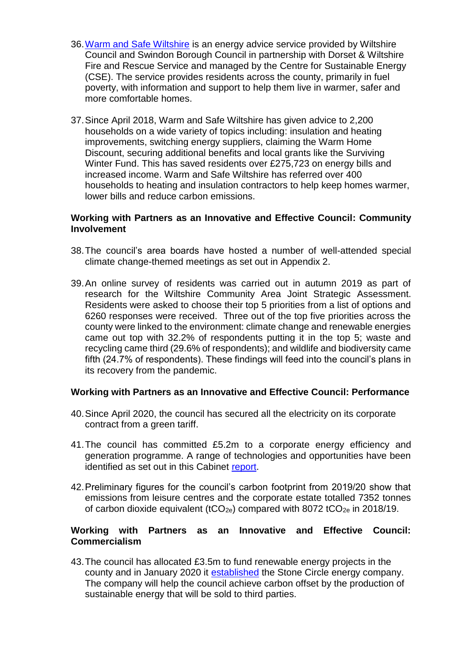- 36[.Warm and Safe Wiltshire](https://www.warmandsafewiltshire.org.uk/) is an energy advice service provided by Wiltshire Council and Swindon Borough Council in partnership with Dorset & Wiltshire Fire and Rescue Service and managed by the Centre for Sustainable Energy (CSE). The service provides residents across the county, primarily in fuel poverty, with information and support to help them live in warmer, safer and more comfortable homes.
- 37.Since April 2018, Warm and Safe Wiltshire has given advice to 2,200 households on a wide variety of topics including: insulation and heating improvements, switching energy suppliers, claiming the Warm Home Discount, securing additional benefits and local grants like the Surviving Winter Fund. This has saved residents over £275,723 on energy bills and increased income. Warm and Safe Wiltshire has referred over 400 households to heating and insulation contractors to help keep homes warmer, lower bills and reduce carbon emissions.

#### **Working with Partners as an Innovative and Effective Council: Community Involvement**

- 38.The council's area boards have hosted a number of well-attended special climate change-themed meetings as set out in Appendix 2.
- 39.An online survey of residents was carried out in autumn 2019 as part of research for the Wiltshire Community Area Joint Strategic Assessment. Residents were asked to choose their top 5 priorities from a list of options and 6260 responses were received. Three out of the top five priorities across the county were linked to the environment: climate change and renewable energies came out top with 32.2% of respondents putting it in the top 5; waste and recycling came third (29.6% of respondents); and wildlife and biodiversity came fifth (24.7% of respondents). These findings will feed into the council's plans in its recovery from the pandemic.

#### **Working with Partners as an Innovative and Effective Council: Performance**

- 40.Since April 2020, the council has secured all the electricity on its corporate contract from a green tariff.
- 41.The council has committed £5.2m to a corporate energy efficiency and generation programme. A range of technologies and opportunities have been identified as set out in this Cabinet [report.](https://wiltshirecouncil-my.sharepoint.com/personal/ariane_crampton_wiltshire_gov_uk/Documents/Documents/Committees,%20Boards,%20Partnerships/Cabinet/July%202020%20Cabinet%20and%20Council/20.%09https:/cms.wiltshire.gov.uk/documents/s167851/Wiltshire%20Council%20Carbon%20Reduction%20-%20Corporate%20Property%20Energy%20Efficiency%20and%20Generation%20Programme.pdf)
- 42.Preliminary figures for the council's carbon footprint from 2019/20 show that emissions from leisure centres and the corporate estate totalled 7352 tonnes of carbon dioxide equivalent (tCO<sub>2e</sub>) compared with 8072 tCO<sub>2e</sub> in 2018/19.

#### **Working with Partners as an Innovative and Effective Council: Commercialism**

43.The council has allocated £3.5m to fund renewable energy projects in the county and in January 2020 it [established](https://cms.wiltshire.gov.uk/documents/s172421/Stone%20Circle%20Company%20Business%20Plan%20Report.pdf) the Stone Circle energy company. The company will help the council achieve carbon offset by the production of sustainable energy that will be sold to third parties.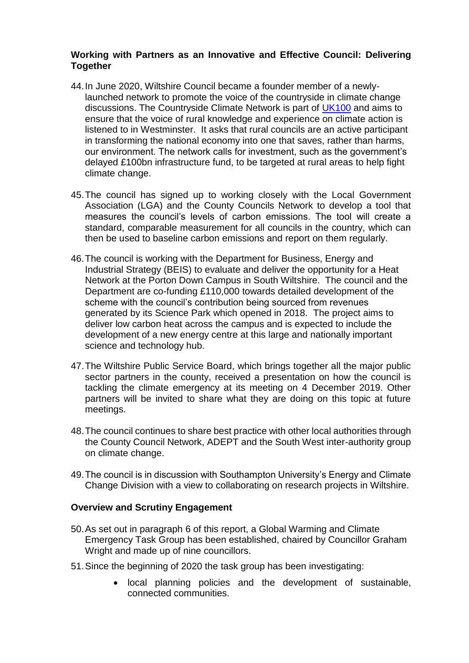#### **Working with Partners as an Innovative and Effective Council: Delivering Together**

- 44.In June 2020, Wiltshire Council became a founder member of a newlylaunched network to promote the voice of the countryside in climate change discussions. The Countryside Climate Network is part of [UK100](https://www.uk100.org/) and aims to ensure that the voice of rural knowledge and experience on climate action is listened to in Westminster. It asks that rural councils are an active participant in transforming the national economy into one that saves, rather than harms, our environment. The network calls for investment, such as the government's delayed £100bn infrastructure fund, to be targeted at rural areas to help fight climate change.
- 45.The council has signed up to working closely with the Local Government Association (LGA) and the County Councils Network to develop a tool that measures the council's levels of carbon emissions. The tool will create a standard, comparable measurement for all councils in the country, which can then be used to baseline carbon emissions and report on them regularly.
- 46.The council is working with the Department for Business, Energy and Industrial Strategy (BEIS) to evaluate and deliver the opportunity for a Heat Network at the Porton Down Campus in South Wiltshire. The council and the Department are co-funding £110,000 towards detailed development of the scheme with the council's contribution being sourced from revenues generated by its Science Park which opened in 2018. The project aims to deliver low carbon heat across the campus and is expected to include the development of a new energy centre at this large and nationally important science and technology hub.
- 47.The Wiltshire Public Service Board, which brings together all the major public sector partners in the county, received a presentation on how the council is tackling the climate emergency at its meeting on 4 December 2019. Other partners will be invited to share what they are doing on this topic at future meetings.
- 48.The council continues to share best practice with other local authorities through the County Council Network, ADEPT and the South West inter-authority group on climate change.
- 49.The council is in discussion with Southampton University's Energy and Climate Change Division with a view to collaborating on research projects in Wiltshire.

#### **Overview and Scrutiny Engagement**

- 50.As set out in paragraph 6 of this report, a Global Warming and Climate Emergency Task Group has been established, chaired by Councillor Graham Wright and made up of nine councillors.
- 51.Since the beginning of 2020 the task group has been investigating:
	- local planning policies and the development of sustainable, connected communities.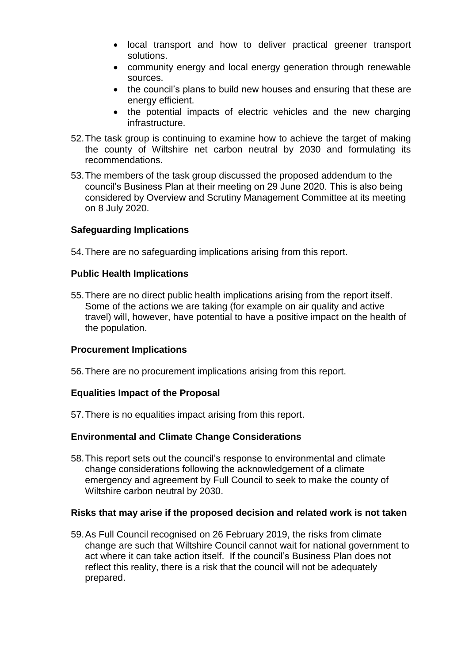- local transport and how to deliver practical greener transport solutions.
- community energy and local energy generation through renewable sources.
- the council's plans to build new houses and ensuring that these are energy efficient.
- the potential impacts of electric vehicles and the new charging infrastructure.
- 52.The task group is continuing to examine how to achieve the target of making the county of Wiltshire net carbon neutral by 2030 and formulating its recommendations.
- 53.The members of the task group discussed the proposed addendum to the council's Business Plan at their meeting on 29 June 2020. This is also being considered by Overview and Scrutiny Management Committee at its meeting on 8 July 2020.

## **Safeguarding Implications**

54.There are no safeguarding implications arising from this report.

## **Public Health Implications**

55.There are no direct public health implications arising from the report itself. Some of the actions we are taking (for example on air quality and active travel) will, however, have potential to have a positive impact on the health of the population.

#### **Procurement Implications**

56.There are no procurement implications arising from this report.

#### **Equalities Impact of the Proposal**

57.There is no equalities impact arising from this report.

#### **Environmental and Climate Change Considerations**

58.This report sets out the council's response to environmental and climate change considerations following the acknowledgement of a climate emergency and agreement by Full Council to seek to make the county of Wiltshire carbon neutral by 2030.

#### **Risks that may arise if the proposed decision and related work is not taken**

59.As Full Council recognised on 26 February 2019, the risks from climate change are such that Wiltshire Council cannot wait for national government to act where it can take action itself. If the council's Business Plan does not reflect this reality, there is a risk that the council will not be adequately prepared.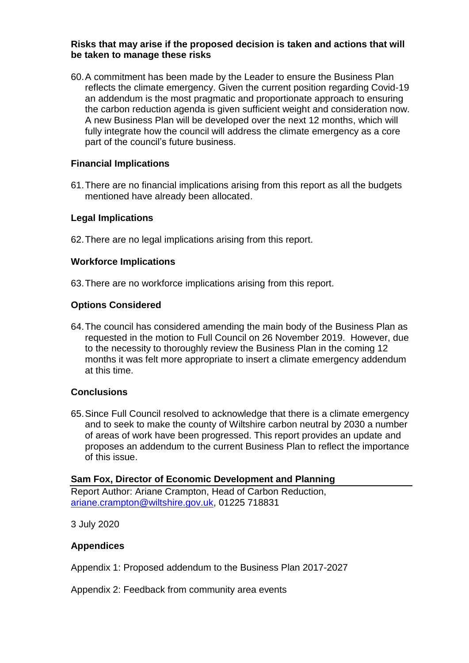#### **Risks that may arise if the proposed decision is taken and actions that will be taken to manage these risks**

60.A commitment has been made by the Leader to ensure the Business Plan reflects the climate emergency. Given the current position regarding Covid-19 an addendum is the most pragmatic and proportionate approach to ensuring the carbon reduction agenda is given sufficient weight and consideration now. A new Business Plan will be developed over the next 12 months, which will fully integrate how the council will address the climate emergency as a core part of the council's future business.

## **Financial Implications**

61.There are no financial implications arising from this report as all the budgets mentioned have already been allocated.

#### **Legal Implications**

62.There are no legal implications arising from this report.

#### **Workforce Implications**

63.There are no workforce implications arising from this report.

#### **Options Considered**

64.The council has considered amending the main body of the Business Plan as requested in the motion to Full Council on 26 November 2019. However, due to the necessity to thoroughly review the Business Plan in the coming 12 months it was felt more appropriate to insert a climate emergency addendum at this time.

#### **Conclusions**

65.Since Full Council resolved to acknowledge that there is a climate emergency and to seek to make the county of Wiltshire carbon neutral by 2030 a number of areas of work have been progressed. This report provides an update and proposes an addendum to the current Business Plan to reflect the importance of this issue.

#### **Sam Fox, Director of Economic Development and Planning**

Report Author: Ariane Crampton, Head of Carbon Reduction, ariane.crampton@wiltshire.gov.uk, 01225 718831

3 July 2020

#### **Appendices**

Appendix 1: Proposed addendum to the Business Plan 2017-2027

Appendix 2: Feedback from community area events